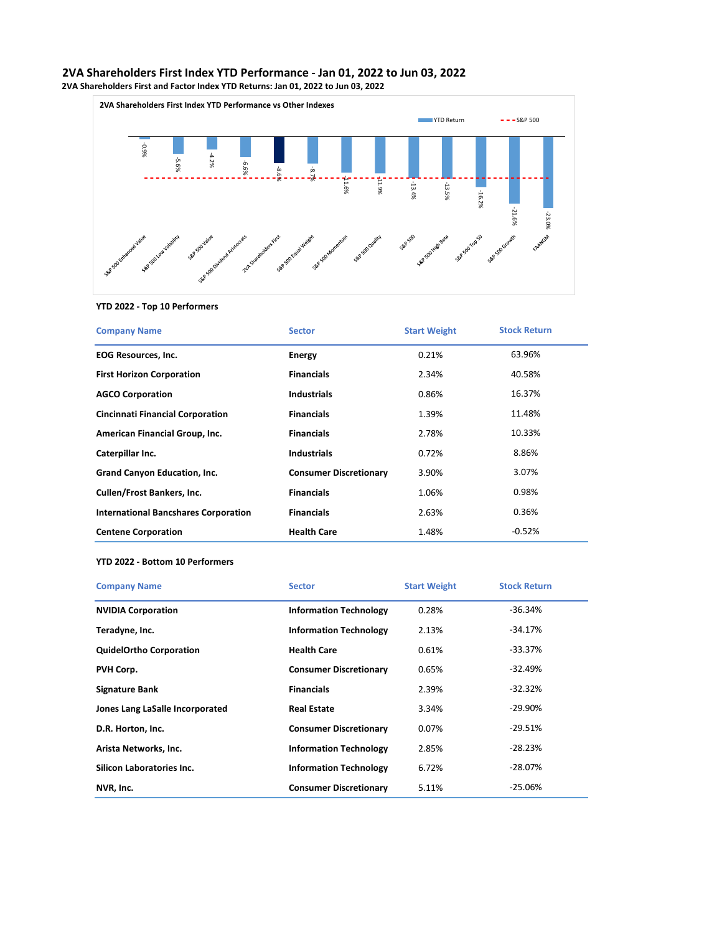### **2VA Shareholders First Index YTD Performance - Jan 01, 2022 to Jun 03, 2022 2VA Shareholders First and Factor Index YTD Returns: Jan 01, 2022 to Jun 03, 2022**



## **YTD 2022 - Top 10 Performers**

| <b>Company Name</b>                         | <b>Sector</b>                 | <b>Start Weight</b> | <b>Stock Return</b> |
|---------------------------------------------|-------------------------------|---------------------|---------------------|
| <b>EOG Resources, Inc.</b>                  | Energy                        | 0.21%               | 63.96%              |
| <b>First Horizon Corporation</b>            | <b>Financials</b>             | 2.34%               | 40.58%              |
| <b>AGCO Corporation</b>                     | <b>Industrials</b>            | 0.86%               | 16.37%              |
| <b>Cincinnati Financial Corporation</b>     | <b>Financials</b>             | 1.39%               | 11.48%              |
| American Financial Group, Inc.              | <b>Financials</b>             | 2.78%               | 10.33%              |
| Caterpillar Inc.                            | <b>Industrials</b>            | 0.72%               | 8.86%               |
| <b>Grand Canyon Education, Inc.</b>         | <b>Consumer Discretionary</b> | 3.90%               | 3.07%               |
| Cullen/Frost Bankers, Inc.                  | <b>Financials</b>             | 1.06%               | 0.98%               |
| <b>International Bancshares Corporation</b> | <b>Financials</b>             | 2.63%               | 0.36%               |
| <b>Centene Corporation</b>                  | <b>Health Care</b>            | 1.48%               | $-0.52%$            |

#### **YTD 2022 - Bottom 10 Performers**

| <b>Company Name</b>             | <b>Sector</b>                 | <b>Start Weight</b> | <b>Stock Return</b> |
|---------------------------------|-------------------------------|---------------------|---------------------|
| <b>NVIDIA Corporation</b>       | <b>Information Technology</b> | 0.28%               | $-36.34%$           |
| Teradyne, Inc.                  | <b>Information Technology</b> | 2.13%               | -34.17%             |
| <b>QuidelOrtho Corporation</b>  | <b>Health Care</b>            | 0.61%               | $-33.37%$           |
| PVH Corp.                       | <b>Consumer Discretionary</b> | 0.65%               | $-32.49%$           |
| Signature Bank                  | <b>Financials</b>             | 2.39%               | $-32.32\%$          |
| Jones Lang LaSalle Incorporated | <b>Real Estate</b>            | 3.34%               | $-29.90\%$          |
| D.R. Horton, Inc.               | <b>Consumer Discretionary</b> | 0.07%               | $-29.51\%$          |
| Arista Networks, Inc.           | <b>Information Technology</b> | 2.85%               | $-28.23%$           |
| Silicon Laboratories Inc.       | <b>Information Technology</b> | 6.72%               | $-28.07%$           |
| NVR, Inc.                       | <b>Consumer Discretionary</b> | 5.11%               | $-25.06%$           |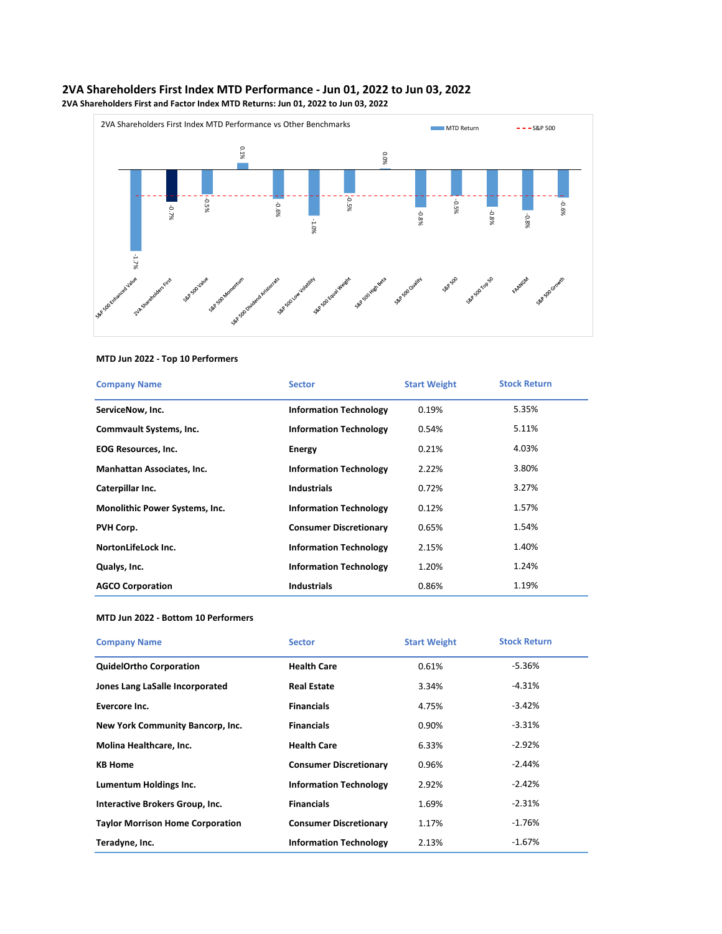

## **2VA Shareholders First Index MTD Performance - Jun 01, 2022 to Jun 03, 2022 2VA Shareholders First and Factor Index MTD Returns: Jun 01, 2022 to Jun 03, 2022**

#### **MTD Jun 2022 - Top 10 Performers**

| <b>Company Name</b>                   | <b>Sector</b>                 | <b>Start Weight</b> | <b>Stock Return</b> |
|---------------------------------------|-------------------------------|---------------------|---------------------|
| ServiceNow, Inc.                      | <b>Information Technology</b> | 0.19%               | 5.35%               |
| Commvault Systems, Inc.               | <b>Information Technology</b> | 0.54%               | 5.11%               |
| <b>EOG Resources, Inc.</b>            | Energy                        | 0.21%               | 4.03%               |
| Manhattan Associates, Inc.            | <b>Information Technology</b> | 2.22%               | 3.80%               |
| Caterpillar Inc.                      | <b>Industrials</b>            | 0.72%               | 3.27%               |
| <b>Monolithic Power Systems, Inc.</b> | <b>Information Technology</b> | 0.12%               | 1.57%               |
| PVH Corp.                             | <b>Consumer Discretionary</b> | 0.65%               | 1.54%               |
| NortonLifeLock Inc.                   | <b>Information Technology</b> | 2.15%               | 1.40%               |
| Qualys, Inc.                          | <b>Information Technology</b> | 1.20%               | 1.24%               |
| <b>AGCO Corporation</b>               | <b>Industrials</b>            | 0.86%               | 1.19%               |

## **MTD Jun 2022 - Bottom 10 Performers**

| <b>Company Name</b>                     | <b>Sector</b>                 | <b>Start Weight</b> | <b>Stock Return</b> |
|-----------------------------------------|-------------------------------|---------------------|---------------------|
| <b>QuidelOrtho Corporation</b>          | <b>Health Care</b>            | 0.61%               | -5.36%              |
| Jones Lang LaSalle Incorporated         | <b>Real Estate</b>            | 3.34%               | -4.31%              |
| Evercore Inc.                           | <b>Financials</b>             | 4.75%               | $-3.42%$            |
| New York Community Bancorp, Inc.        | <b>Financials</b>             | 0.90%               | -3.31%              |
| Molina Healthcare, Inc.                 | <b>Health Care</b>            | 6.33%               | $-2.92%$            |
| <b>KB Home</b>                          | <b>Consumer Discretionary</b> | 0.96%               | $-2.44\%$           |
| Lumentum Holdings Inc.                  | <b>Information Technology</b> | 2.92%               | $-2.42%$            |
| Interactive Brokers Group, Inc.         | <b>Financials</b>             | 1.69%               | $-2.31%$            |
| <b>Taylor Morrison Home Corporation</b> | <b>Consumer Discretionary</b> | 1.17%               | -1.76%              |
| Teradyne, Inc.                          | <b>Information Technology</b> | 2.13%               | $-1.67\%$           |